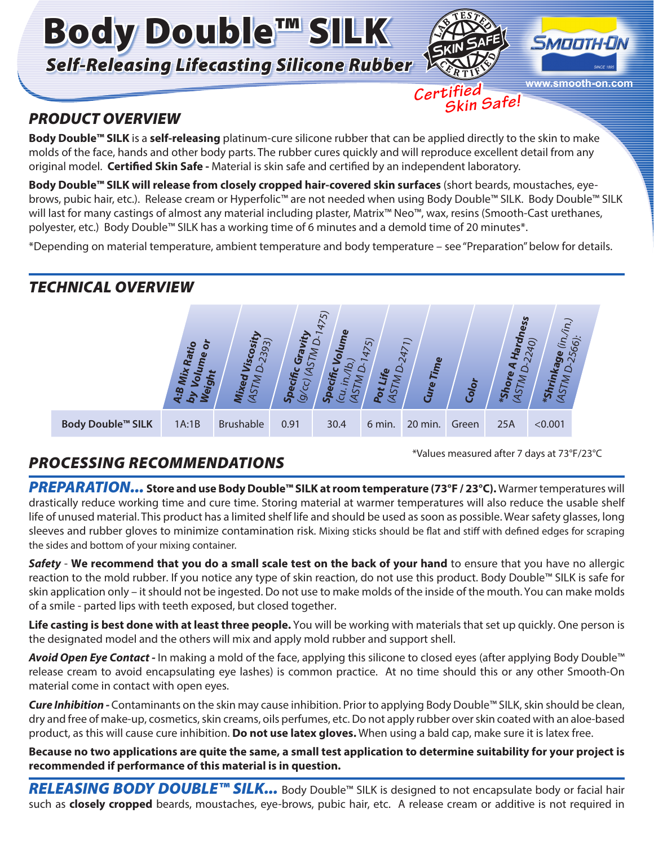Body Double™ SILK *Self-Releasing Lifecasting Silicone Rubber*



 *Skin Safe!*

 *Certified*



## *PRODUCT OVERVIEW*

**Body Double™ SILK** is a **self-releasing** platinum-cure silicone rubber that can be applied directly to the skin to make molds of the face, hands and other body parts. The rubber cures quickly and will reproduce excellent detail from any original model. **Certified Skin Safe -** Material is skin safe and certified by an independent laboratory.

**Body Double™ SILK will release from closely cropped hair-covered skin surfaces** (short beards, moustaches, eyebrows, pubic hair, etc.). Release cream or Hyperfolic™ are not needed when using Body Double™ SILK. Body Double™ SILK will last for many castings of almost any material including plaster, Matrix™ Neo™, wax, resins (Smooth-Cast urethanes, polyester, etc.) Body Double™ SILK has a working time of 6 minutes and a demold time of 20 minutes\*.

\*Depending on material temperature, ambient temperature and body temperature – see "Preparation" below for details.

### *TECHNICAL OVERVIEW*



# *PROCESSING RECOMMENDATIONS*

\*Values measured after 7 days at 73°F/23°C

*PREPARATION...* **Store and use Body Double™ SILK at room temperature (73°F / 23°C).** Warmer temperatures will drastically reduce working time and cure time. Storing material at warmer temperatures will also reduce the usable shelf life of unused material. This product has a limited shelf life and should be used as soon as possible. Wear safety glasses, long sleeves and rubber gloves to minimize contamination risk. Mixing sticks should be flat and stiff with defined edges for scraping the sides and bottom of your mixing container.

*Safety* - **We recommend that you do a small scale test on the back of your hand** to ensure that you have no allergic reaction to the mold rubber. If you notice any type of skin reaction, do not use this product. Body Double™ SILK is safe for skin application only – it should not be ingested. Do not use to make molds of the inside of the mouth. You can make molds of a smile - parted lips with teeth exposed, but closed together.

**Life casting is best done with at least three people.** You will be working with materials that set up quickly. One person is the designated model and the others will mix and apply mold rubber and support shell.

*Avoid Open Eye Contact -* In making a mold of the face, applying this silicone to closed eyes (after applying Body Double™ release cream to avoid encapsulating eye lashes) is common practice. At no time should this or any other Smooth-On material come in contact with open eyes.

*Cure Inhibition -* Contaminants on the skin may cause inhibition. Prior to applying Body Double™ SILK, skin should be clean, dry and free of make-up, cosmetics, skin creams, oils perfumes, etc. Do not apply rubber over skin coated with an aloe-based product, as this will cause cure inhibition. **Do not use latex gloves.** When using a bald cap, make sure it is latex free.

**Because no two applications are quite the same, a small test application to determine suitability for your project is recommended if performance of this material is in question.**

**RELEASING BODY DOUBLE™ SILK...** Body Double™ SILK is designed to not encapsulate body or facial hair such as **closely cropped** beards, moustaches, eye-brows, pubic hair, etc. A release cream or additive is not required in